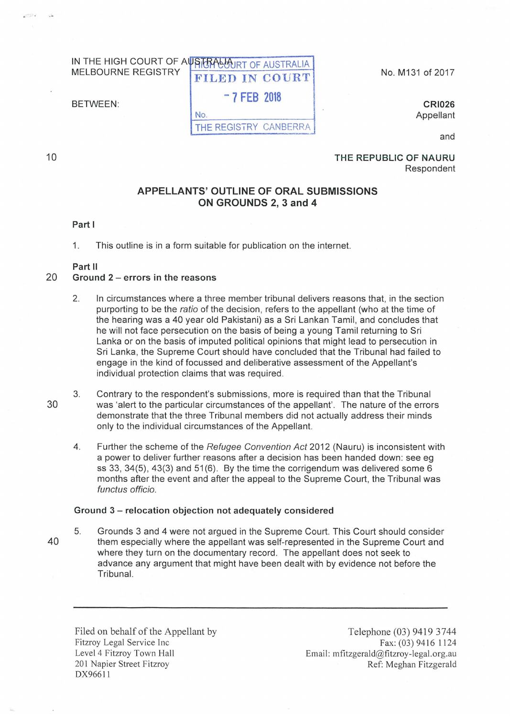#### IN THE HIGH COURT OF AUSTRALIA THE HIGH COURT OF AUSTRALIA MELBOURNE REGISTRY FILED IN COURT

No.

- 7 FEB 2018

BETWEEN:

THE REGISTRY CANBERRA

No. M131 of 2017

CRI026 Appellant

and

10

. .

### THE REPUBLIC OF NAURU Respondent

# APPELLANTS' OUTLINE OF ORAL SUBMISSIONS ON GROUNDS 2, 3 and 4

#### Part I

1. This outline is in a form suitable for publication on the internet.

## Part 11

## 20 Ground 2- errors in the reasons

- 2. In circumstances where a three member tribunal delivers reasons that, in the section purporting to be the ratio of the decision, refers to the appellant (who at the time of the hearing was a 40 year old Pakistani) as a Sri Lankan Tamil, and concludes that he will not face persecution on the basis of being a young Tamil returning to Sri Lanka or on the basis of imputed political opinions that might lead to persecution in Sri Lanka, the Supreme Court should have concluded that the Tribunal had failed to engage in the kind of focussed and deliberative assessment of the Appellant's individual protection claims that was required.
- 3. Contrary to the respondent's submissions, more is required than that the Tribunal was 'alert to the particular circumstances of the appellant'. The nature of the errors demonstrate that the three Tribunal members did not actually address their minds only to the individual circumstances of the Appellant.
- 4. Further the scheme of the Refugee Convention Act 2012 (Nauru) is inconsistent with a power to deliver further reasons after a decision has been handed down: see eg ss 33, 34(5), 43(3) and 51(6). By the time the corrigendum was delivered some  $6$ months after the event and after the appeal to the Supreme Court, the Tribunal was functus officio.

### Ground 3- relocation objection not adequately considered

5. Grounds 3 and 4 were not argued in the Supreme Court. This Court should consider them especially where the appellant was self-represented in the Supreme Court and where they turn on the documentary record. The appellant does not seek to advance any argument that might have been dealt with by evidence not before the Tribunal.

Filed on behalf of the Appellant by Fitzroy Legal Service Inc Level 4 Fitzroy Town Hall 201 Napier Street Fitzroy DX96611

Telephone (03) 9419 3744 Fax: (03) 9416 1124 Email: mfitzgerald@fitzroy-legal.org.au Ref: Meghan Fitzgerald

30

40